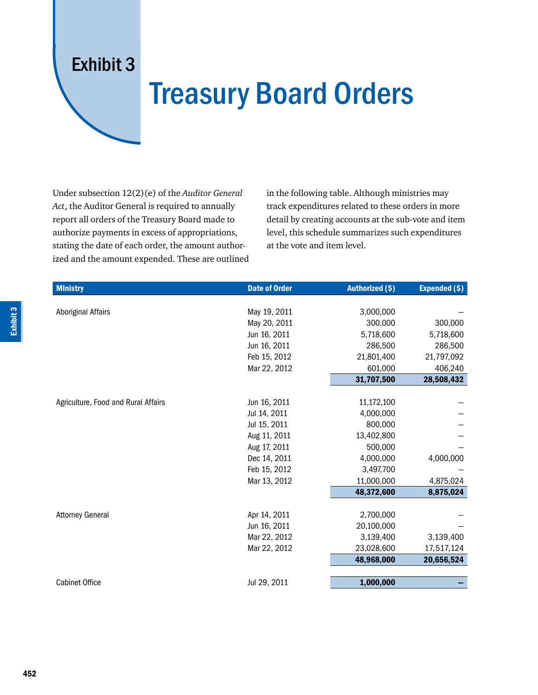## Exhibit 3

## Treasury Board Orders

Under subsection 12(2)(e) of the *Auditor General Act*, the Auditor General is required to annually report all orders of the Treasury Board made to authorize payments in excess of appropriations, stating the date of each order, the amount authorized and the amount expended. These are outlined

in the following table. Although ministries may track expenditures related to these orders in more detail by creating accounts at the sub-vote and item level, this schedule summarizes such expenditures at the vote and item level.

| <b>Ministry</b>                     | <b>Date of Order</b> | <b>Authorized (\$)</b> | <b>Expended (\$)</b> |
|-------------------------------------|----------------------|------------------------|----------------------|
|                                     |                      |                        |                      |
| Aboriginal Affairs                  | May 19, 2011         | 3,000,000              |                      |
|                                     | May 20, 2011         | 300,000                | 300,000              |
|                                     | Jun 16, 2011         | 5,718,600              | 5,718,600            |
|                                     | Jun 16, 2011         | 286,500                | 286,500              |
|                                     | Feb 15, 2012         | 21,801,400             | 21,797,092           |
|                                     | Mar 22, 2012         | 601,000                | 406,240              |
|                                     |                      | 31,707,500             | 28,508,432           |
|                                     |                      |                        |                      |
| Agriculture, Food and Rural Affairs | Jun 16, 2011         | 11,172,100             |                      |
|                                     | Jul 14, 2011         | 4,000,000              |                      |
|                                     | Jul 15, 2011         | 800,000                |                      |
|                                     | Aug 11, 2011         | 13,402,800             |                      |
|                                     | Aug 17, 2011         | 500,000                |                      |
|                                     | Dec 14, 2011         | 4,000,000              | 4,000,000            |
|                                     | Feb 15, 2012         | 3,497,700              |                      |
|                                     | Mar 13, 2012         | 11,000,000             | 4,875,024            |
|                                     |                      | 48,372,600             | 8,875,024            |
|                                     |                      |                        |                      |
| <b>Attorney General</b>             | Apr 14, 2011         | 2,700,000              |                      |
|                                     | Jun 16, 2011         | 20,100,000             |                      |
|                                     | Mar 22, 2012         | 3,139,400              | 3,139,400            |
|                                     | Mar 22, 2012         | 23,028,600             | 17,517,124           |
|                                     |                      | 48,968,000             | 20,656,524           |
|                                     |                      |                        |                      |
| <b>Cabinet Office</b>               | Jul 29, 2011         | 1,000,000              |                      |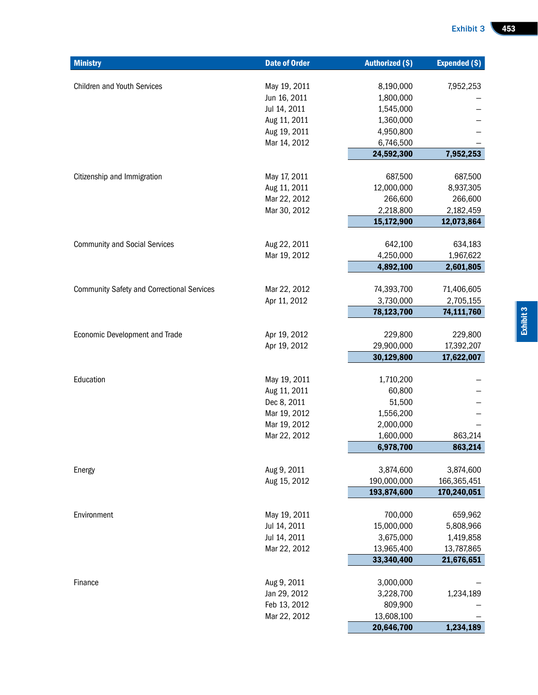| <b>Ministry</b>                                   | <b>Date of Order</b>         | <b>Authorized (\$)</b> | <b>Expended (\$)</b> |
|---------------------------------------------------|------------------------------|------------------------|----------------------|
|                                                   |                              |                        |                      |
| <b>Children and Youth Services</b>                | May 19, 2011                 | 8,190,000              | 7,952,253            |
|                                                   | Jun 16, 2011                 | 1,800,000              |                      |
|                                                   | Jul 14, 2011                 | 1,545,000              |                      |
|                                                   | Aug 11, 2011                 | 1,360,000              |                      |
|                                                   | Aug 19, 2011<br>Mar 14, 2012 | 4,950,800<br>6,746,500 |                      |
|                                                   |                              | 24,592,300             | 7,952,253            |
|                                                   |                              |                        |                      |
| Citizenship and Immigration                       | May 17, 2011                 | 687,500                | 687,500              |
|                                                   | Aug 11, 2011                 | 12,000,000             | 8,937,305            |
|                                                   | Mar 22, 2012                 | 266,600                | 266,600              |
|                                                   | Mar 30, 2012                 | 2,218,800              | 2,182,459            |
|                                                   |                              | 15,172,900             | 12,073,864           |
|                                                   |                              |                        |                      |
| <b>Community and Social Services</b>              | Aug 22, 2011                 | 642,100                | 634,183              |
|                                                   | Mar 19, 2012                 | 4,250,000              | 1,967,622            |
|                                                   |                              | 4,892,100              | 2,601,805            |
|                                                   |                              |                        |                      |
| <b>Community Safety and Correctional Services</b> | Mar 22, 2012                 | 74,393,700             | 71,406,605           |
|                                                   | Apr 11, 2012                 | 3,730,000              | 2,705,155            |
|                                                   |                              | 78,123,700             | 74,111,760           |
| <b>Economic Development and Trade</b>             | Apr 19, 2012                 | 229,800                | 229,800              |
|                                                   | Apr 19, 2012                 | 29,900,000             | 17,392,207           |
|                                                   |                              | 30,129,800             | 17,622,007           |
|                                                   |                              |                        |                      |
| Education                                         | May 19, 2011                 | 1,710,200              |                      |
|                                                   | Aug 11, 2011                 | 60,800                 |                      |
|                                                   | Dec 8, 2011                  | 51,500                 |                      |
|                                                   | Mar 19, 2012                 | 1,556,200              |                      |
|                                                   | Mar 19, 2012                 | 2,000,000              |                      |
|                                                   | Mar 22, 2012                 | 1,600,000              | 863,214              |
|                                                   |                              | 6,978,700              | 863,214              |
|                                                   | Aug 9, 2011                  | 3,874,600              | 3,874,600            |
| Energy                                            | Aug 15, 2012                 | 190,000,000            | 166,365,451          |
|                                                   |                              | 193,874,600            | 170,240,051          |
|                                                   |                              |                        |                      |
| Environment                                       | May 19, 2011                 | 700,000                | 659,962              |
|                                                   | Jul 14, 2011                 | 15,000,000             | 5,808,966            |
|                                                   | Jul 14, 2011                 | 3,675,000              | 1,419,858            |
|                                                   | Mar 22, 2012                 | 13,965,400             | 13,787,865           |
|                                                   |                              | 33,340,400             | 21,676,651           |
|                                                   |                              |                        |                      |
| Finance                                           | Aug 9, 2011                  | 3,000,000              |                      |
|                                                   | Jan 29, 2012                 | 3,228,700              | 1,234,189            |
|                                                   | Feb 13, 2012                 | 809,900                |                      |
|                                                   | Mar 22, 2012                 | 13,608,100             |                      |
|                                                   |                              | 20,646,700             | 1,234,189            |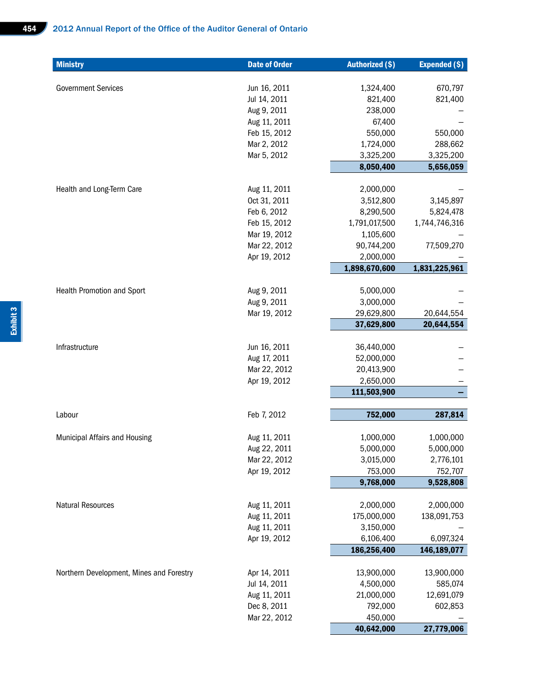| <b>Ministry</b>                          | <b>Date of Order</b>         | <b>Authorized (\$)</b> | <b>Expended (\$)</b> |
|------------------------------------------|------------------------------|------------------------|----------------------|
|                                          |                              |                        |                      |
| <b>Government Services</b>               | Jun 16, 2011                 | 1,324,400              | 670,797              |
|                                          | Jul 14, 2011                 | 821,400                | 821,400              |
|                                          | Aug 9, 2011                  | 238,000                |                      |
|                                          | Aug 11, 2011<br>Feb 15, 2012 | 67,400<br>550,000      | 550,000              |
|                                          | Mar 2, 2012                  | 1,724,000              | 288,662              |
|                                          | Mar 5, 2012                  | 3,325,200              | 3,325,200            |
|                                          |                              | 8,050,400              | 5,656,059            |
|                                          |                              |                        |                      |
| Health and Long-Term Care                | Aug 11, 2011                 | 2,000,000              |                      |
|                                          | Oct 31, 2011                 | 3,512,800              | 3,145,897            |
|                                          | Feb 6, 2012                  | 8,290,500              | 5,824,478            |
|                                          | Feb 15, 2012                 | 1,791,017,500          | 1,744,746,316        |
|                                          | Mar 19, 2012                 | 1,105,600              |                      |
|                                          | Mar 22, 2012                 | 90,744,200             | 77,509,270           |
|                                          | Apr 19, 2012                 | 2,000,000              |                      |
|                                          |                              | 1,898,670,600          | 1,831,225,961        |
|                                          |                              |                        |                      |
| Health Promotion and Sport               | Aug 9, 2011                  | 5,000,000              |                      |
|                                          | Aug 9, 2011                  | 3,000,000              |                      |
|                                          | Mar 19, 2012                 | 29,629,800             | 20,644,554           |
|                                          |                              | 37,629,800             | 20,644,554           |
| Infrastructure                           | Jun 16, 2011                 | 36,440,000             |                      |
|                                          | Aug 17, 2011                 | 52,000,000             |                      |
|                                          | Mar 22, 2012                 | 20,413,900             |                      |
|                                          | Apr 19, 2012                 | 2,650,000              |                      |
|                                          |                              | 111,503,900            |                      |
|                                          |                              |                        |                      |
| Labour                                   | Feb 7, 2012                  | 752,000                | 287,814              |
|                                          |                              |                        |                      |
| Municipal Affairs and Housing            | Aug 11, 2011                 | 1,000,000              | 1,000,000            |
|                                          | Aug 22, 2011                 | 5,000,000              | 5,000,000            |
|                                          | Mar 22, 2012                 | 3,015,000              | 2,776,101            |
|                                          | Apr 19, 2012                 | 753,000                | 752,707              |
|                                          |                              | 9,768,000              | 9,528,808            |
| <b>Natural Resources</b>                 | Aug 11, 2011                 | 2,000,000              | 2,000,000            |
|                                          | Aug 11, 2011                 | 175,000,000            | 138,091,753          |
|                                          | Aug 11, 2011                 | 3,150,000              |                      |
|                                          | Apr 19, 2012                 | 6,106,400              | 6,097,324            |
|                                          |                              | 186,256,400            | 146,189,077          |
|                                          |                              |                        |                      |
| Northern Development, Mines and Forestry | Apr 14, 2011                 | 13,900,000             | 13,900,000           |
|                                          | Jul 14, 2011                 | 4,500,000              | 585,074              |
|                                          | Aug 11, 2011                 | 21,000,000             | 12,691,079           |
|                                          | Dec 8, 2011                  | 792,000                | 602,853              |
|                                          | Mar 22, 2012                 | 450,000                |                      |
|                                          |                              | 40,642,000             | 27,779,006           |